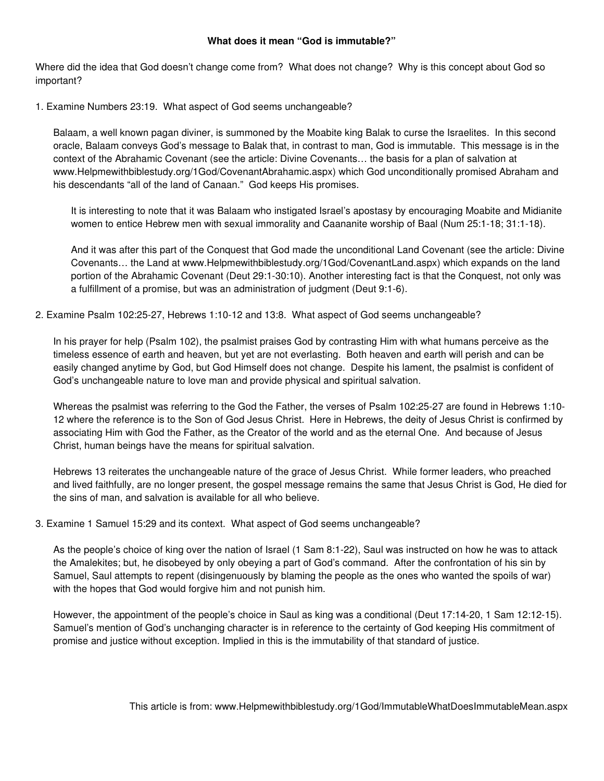## **What does it mean "God is immutable?"**

Where did the idea that God doesn't change come from? What does not change? Why is this concept about God so important?

1. Examine Numbers 23:19. What aspect of God seems unchangeable?

Balaam, a well known pagan diviner, is summoned by the Moabite king Balak to curse the Israelites. In this second oracle, Balaam conveys God's message to Balak that, in contrast to man, God is immutable. This message is in the context of the Abrahamic Covenant (see the article: Divine Covenants… the basis for a plan of salvation at www.Helpmewithbiblestudy.org/1God/CovenantAbrahamic.aspx) which God unconditionally promised Abraham and his descendants "all of the land of Canaan." God keeps His promises.

It is interesting to note that it was Balaam who instigated Israel's apostasy by encouraging Moabite and Midianite women to entice Hebrew men with sexual immorality and Caananite worship of Baal (Num 25:1-18; 31:1-18).

And it was after this part of the Conquest that God made the unconditional Land Covenant (see the article: Divine Covenants… the Land at www.Helpmewithbiblestudy.org/1God/CovenantLand.aspx) which expands on the land portion of the Abrahamic Covenant (Deut 29:1-30:10). Another interesting fact is that the Conquest, not only was a fulfillment of a promise, but was an administration of judgment (Deut 9:1-6).

2. Examine Psalm 102:25-27, Hebrews 1:10-12 and 13:8. What aspect of God seems unchangeable?

In his prayer for help (Psalm 102), the psalmist praises God by contrasting Him with what humans perceive as the timeless essence of earth and heaven, but yet are not everlasting. Both heaven and earth will perish and can be easily changed anytime by God, but God Himself does not change. Despite his lament, the psalmist is confident of God's unchangeable nature to love man and provide physical and spiritual salvation.

Whereas the psalmist was referring to the God the Father, the verses of Psalm 102:25-27 are found in Hebrews 1:10- 12 where the reference is to the Son of God Jesus Christ. Here in Hebrews, the deity of Jesus Christ is confirmed by associating Him with God the Father, as the Creator of the world and as the eternal One. And because of Jesus Christ, human beings have the means for spiritual salvation.

Hebrews 13 reiterates the unchangeable nature of the grace of Jesus Christ. While former leaders, who preached and lived faithfully, are no longer present, the gospel message remains the same that Jesus Christ is God, He died for the sins of man, and salvation is available for all who believe.

3. Examine 1 Samuel 15:29 and its context. What aspect of God seems unchangeable?

As the people's choice of king over the nation of Israel (1 Sam 8:1-22), Saul was instructed on how he was to attack the Amalekites; but, he disobeyed by only obeying a part of God's command. After the confrontation of his sin by Samuel, Saul attempts to repent (disingenuously by blaming the people as the ones who wanted the spoils of war) with the hopes that God would forgive him and not punish him.

However, the appointment of the people's choice in Saul as king was a conditional (Deut 17:14-20, 1 Sam 12:12-15). Samuel's mention of God's unchanging character is in reference to the certainty of God keeping His commitment of promise and justice without exception. Implied in this is the immutability of that standard of justice.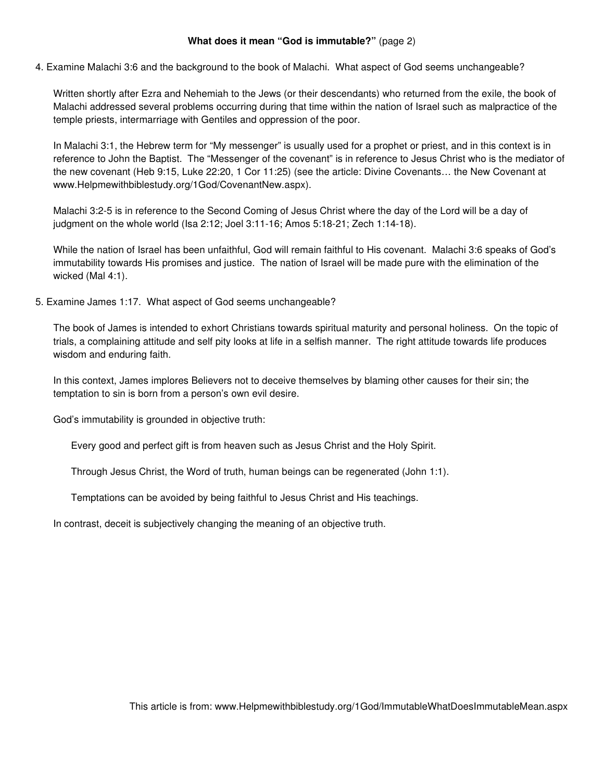## **What does it mean "God is immutable?"** (page 2)

4. Examine Malachi 3:6 and the background to the book of Malachi. What aspect of God seems unchangeable?

Written shortly after Ezra and Nehemiah to the Jews (or their descendants) who returned from the exile, the book of Malachi addressed several problems occurring during that time within the nation of Israel such as malpractice of the temple priests, intermarriage with Gentiles and oppression of the poor.

In Malachi 3:1, the Hebrew term for "My messenger" is usually used for a prophet or priest, and in this context is in reference to John the Baptist. The "Messenger of the covenant" is in reference to Jesus Christ who is the mediator of the new covenant (Heb 9:15, Luke 22:20, 1 Cor 11:25) (see the article: Divine Covenants… the New Covenant at www.Helpmewithbiblestudy.org/1God/CovenantNew.aspx).

Malachi 3:2-5 is in reference to the Second Coming of Jesus Christ where the day of the Lord will be a day of judgment on the whole world (Isa 2:12; Joel 3:11-16; Amos 5:18-21; Zech 1:14-18).

While the nation of Israel has been unfaithful, God will remain faithful to His covenant. Malachi 3:6 speaks of God's immutability towards His promises and justice. The nation of Israel will be made pure with the elimination of the wicked (Mal 4:1).

5. Examine James 1:17. What aspect of God seems unchangeable?

The book of James is intended to exhort Christians towards spiritual maturity and personal holiness. On the topic of trials, a complaining attitude and self pity looks at life in a selfish manner. The right attitude towards life produces wisdom and enduring faith.

In this context, James implores Believers not to deceive themselves by blaming other causes for their sin; the temptation to sin is born from a person's own evil desire.

God's immutability is grounded in objective truth:

Every good and perfect gift is from heaven such as Jesus Christ and the Holy Spirit.

Through Jesus Christ, the Word of truth, human beings can be regenerated (John 1:1).

Temptations can be avoided by being faithful to Jesus Christ and His teachings.

In contrast, deceit is subjectively changing the meaning of an objective truth.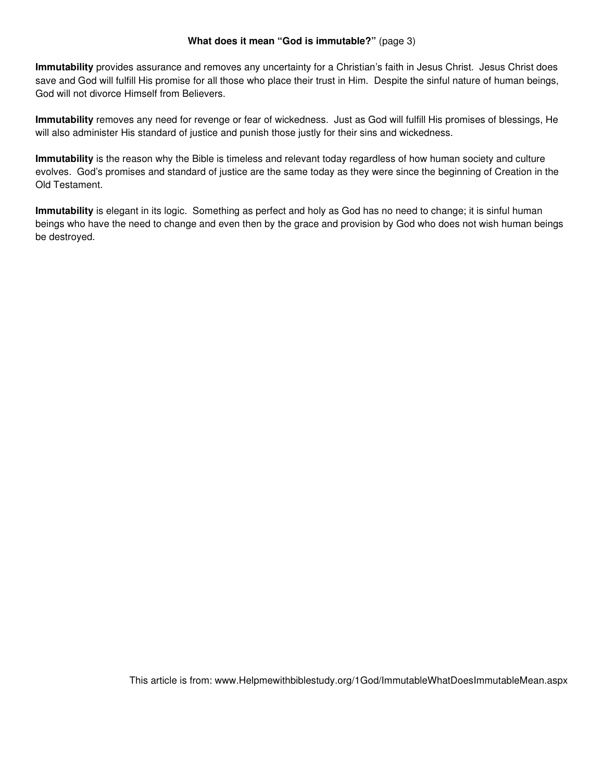## **What does it mean "God is immutable?"** (page 3)

**Immutability** provides assurance and removes any uncertainty for a Christian's faith in Jesus Christ. Jesus Christ does save and God will fulfill His promise for all those who place their trust in Him. Despite the sinful nature of human beings, God will not divorce Himself from Believers.

**Immutability** removes any need for revenge or fear of wickedness. Just as God will fulfill His promises of blessings, He will also administer His standard of justice and punish those justly for their sins and wickedness.

**Immutability** is the reason why the Bible is timeless and relevant today regardless of how human society and culture evolves. God's promises and standard of justice are the same today as they were since the beginning of Creation in the Old Testament.

**Immutability** is elegant in its logic. Something as perfect and holy as God has no need to change; it is sinful human beings who have the need to change and even then by the grace and provision by God who does not wish human beings be destroyed.

This article is from: www.Helpmewithbiblestudy.org/1God/ImmutableWhatDoesImmutableMean.aspx